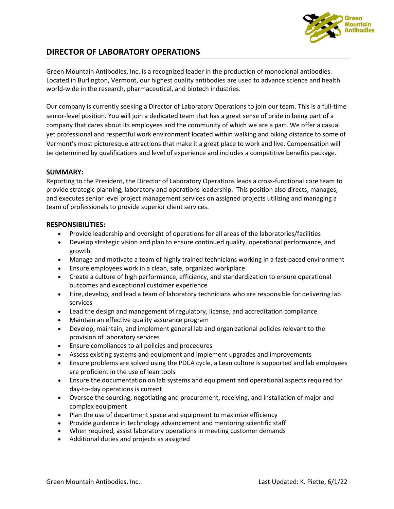

## **DIRECTOR OF LABORATORY OPERATIONS**

Green Mountain Antibodies, Inc. is a recognized leader in the production of monoclonal antibodies. Located in Burlington, Vermont, our highest quality antibodies are used to advance science and health world-wide in the research, pharmaceutical, and biotech industries.

Our company is currently seeking a Director of Laboratory Operations to join our team. This is a full-time senior-level position. You will join a dedicated team that has a great sense of pride in being part of a company that cares about its employees and the community of which we are a part. We offer a casual yet professional and respectful work environment located within walking and biking distance to some of Vermont's most picturesque attractions that make it a great place to work and live. Compensation will be determined by qualifications and level of experience and includes a competitive benefits package.

## **SUMMARY:**

Reporting to the President, the Director of Laboratory Operations leads a cross-functional core team to provide strategic planning, laboratory and operations leadership. This position also directs, manages, and executes senior level project management services on assigned projects utilizing and managing a team of professionals to provide superior client services.

## **RESPONSIBILITIES:**

- Provide leadership and oversight of operations for all areas of the laboratories/facilities
- Develop strategic vision and plan to ensure continued quality, operational performance, and growth
- Manage and motivate a team of highly trained technicians working in a fast-paced environment
- Ensure employees work in a clean, safe, organized workplace
- Create a culture of high performance, efficiency, and standardization to ensure operational outcomes and exceptional customer experience
- Hire, develop, and lead a team of laboratory technicians who are responsible for delivering lab services
- Lead the design and management of regulatory, license, and accreditation compliance
- Maintain an effective quality assurance program
- Develop, maintain, and implement general lab and organizational policies relevant to the provision of laboratory services
- Ensure compliances to all policies and procedures
- Assess existing systems and equipment and implement upgrades and improvements
- Ensure problems are solved using the PDCA cycle, a Lean culture is supported and lab employees are proficient in the use of lean tools
- Ensure the documentation on lab systems and equipment and operational aspects required for day-to-day operations is current
- Oversee the sourcing, negotiating and procurement, receiving, and installation of major and complex equipment
- Plan the use of department space and equipment to maximize efficiency
- Provide guidance in technology advancement and mentoring scientific staff
- When required, assist laboratory operations in meeting customer demands
- Additional duties and projects as assigned